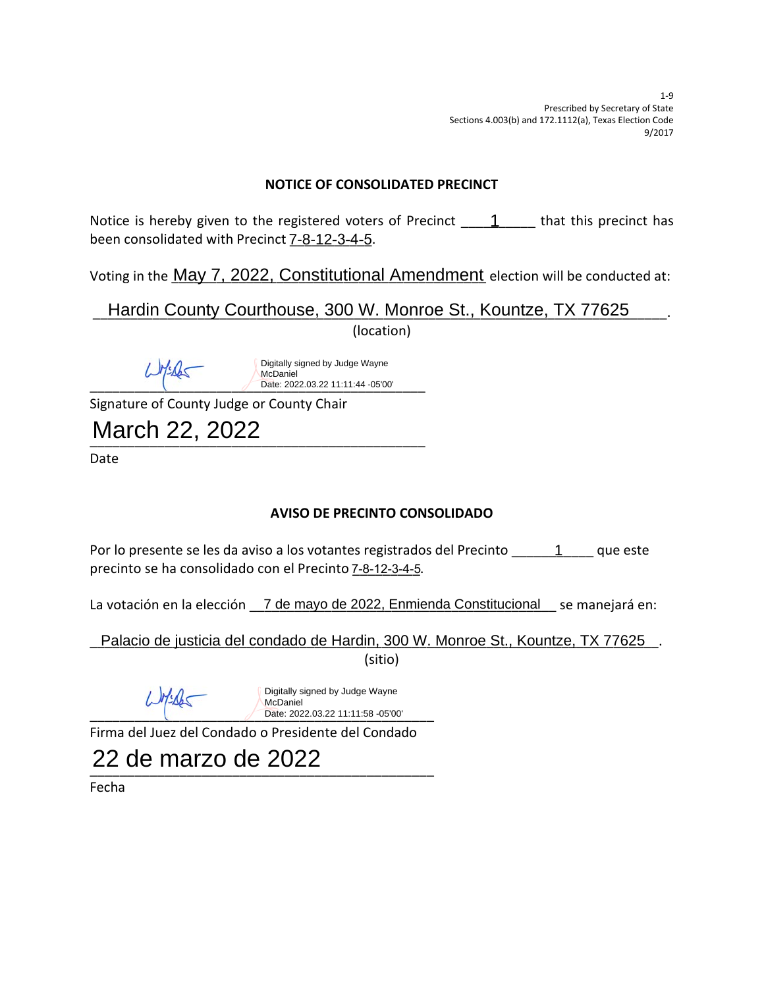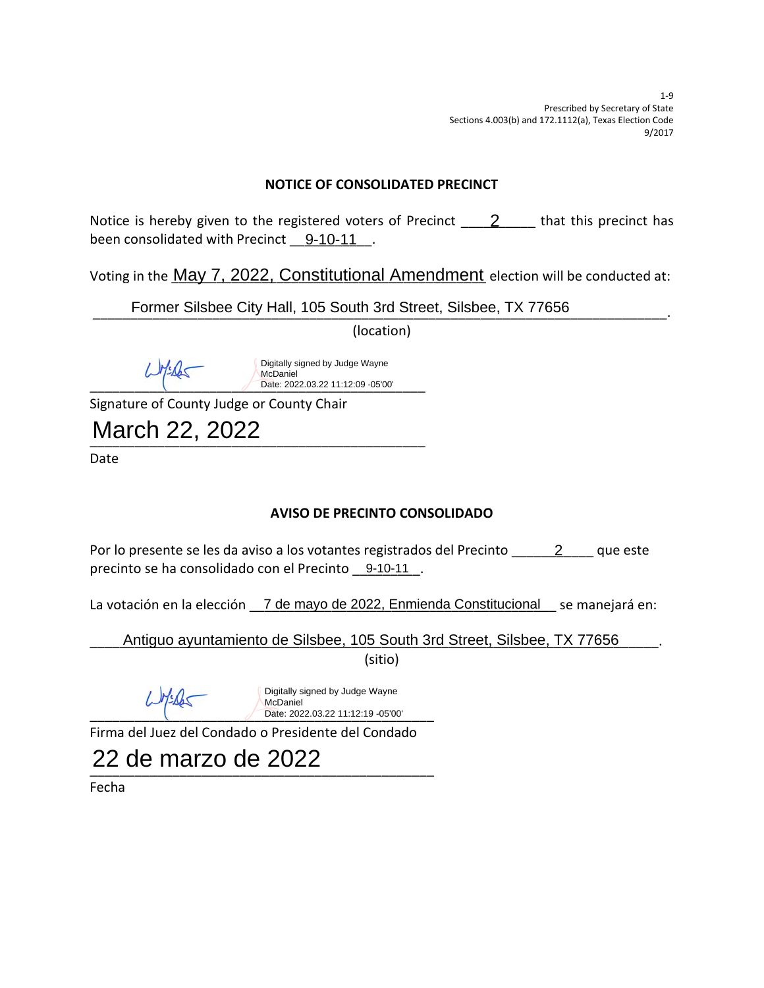

**o :µÌo }v- } WŒ•]všo }v-** $\overline{\mathbf{a}}$ 

**zzz &Z-**团

22 de marzo de 2022

**&]Œu-**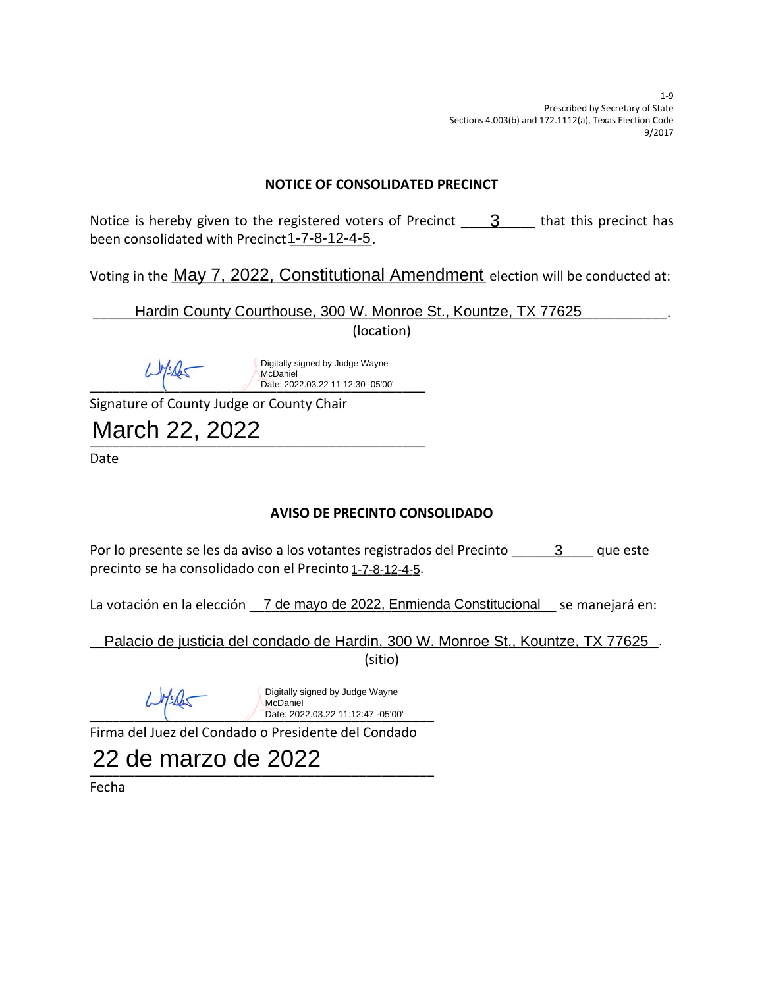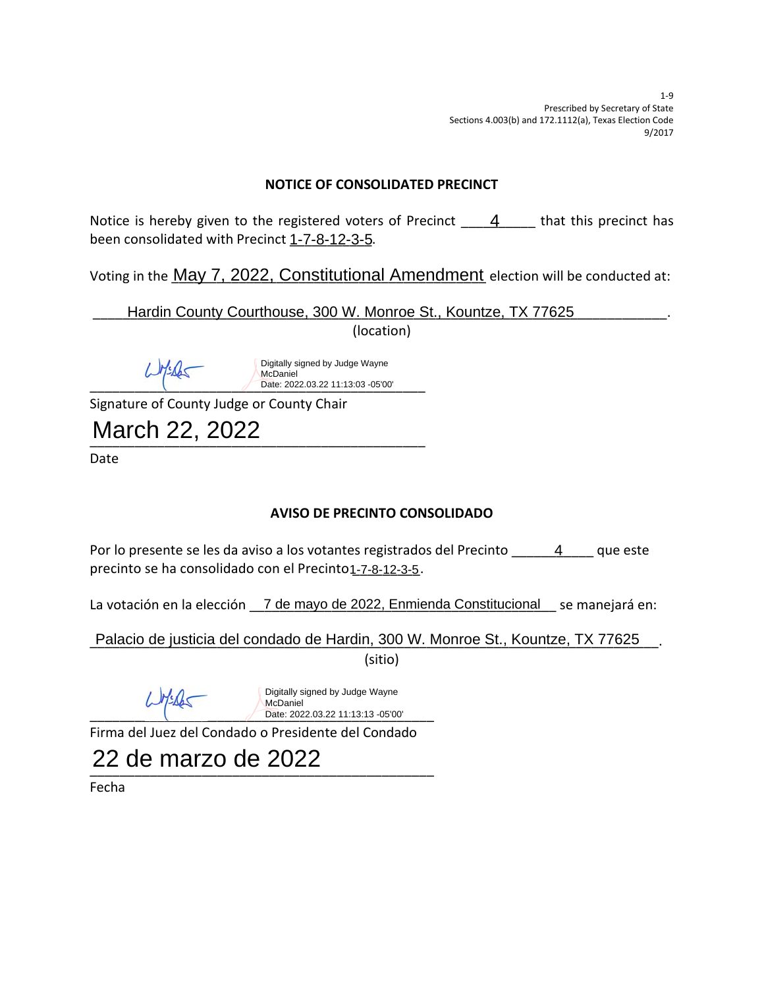|           | <b>NOTICE OF CONSOLIDATED PRECINCT</b> |   |   |     |                |                                         |   |                                                                                 |             |   |   |                                                               |
|-----------|----------------------------------------|---|---|-----|----------------|-----------------------------------------|---|---------------------------------------------------------------------------------|-------------|---|---|---------------------------------------------------------------|
| EM<br>H   |                                        | 闣 | 儒 | 2 團 | И              | PM                                      |   | IШ<br>$1 - 7 - 8 - 12 - 3 - 5$                                                  | 4           |   | 臘 | 闣                                                             |
| <u>pß</u> |                                        |   |   |     |                |                                         |   |                                                                                 |             |   |   | May 7, 2022, Constitutional Amendment ee tion i e ondu ted at |
|           |                                        |   |   |     |                |                                         |   | Hardin County Courthouse, 300 W. Monroe St., Kountze, TX 77625<br>o ation       |             |   |   |                                                               |
|           |                                        |   |   |     |                |                                         |   |                                                                                 |             |   |   |                                                               |
|           |                                        |   |   |     |                | McDaniel                                |   | Digitally signed by Judge Wayne<br>Date: 2022.03.22 11:13:03 -05'00'            |             |   |   |                                                               |
|           |                                        |   |   |     |                | Si nature o County ud e or County Chair |   |                                                                                 |             |   |   |                                                               |
|           |                                        |   |   |     | March 22, 2022 |                                         |   |                                                                                 |             |   |   |                                                               |
| ate       |                                        |   |   |     |                |                                         |   |                                                                                 |             |   |   |                                                               |
|           |                                        |   |   |     |                |                                         |   | <b>AVISO DE PRECINTO CONSOLIDADO</b>                                            |             |   |   |                                                               |
| Ø<br>H    | ⊡                                      | ⊡ |   |     | 22 Z           |                                         | ⊠ | PØ.<br>$1 - 7 - 8 - 12 - 3 - 5$                                                 | <u> ? 2</u> | 0 | 4 | <u> ? ? ?</u>                                                 |
| Æ.        |                                        |   |   |     | se             |                                         |   | andemayo de 2022, Enmienda Constitucional                                       |             |   |   |                                                               |
|           |                                        |   |   |     |                |                                         |   | Palacio de justicia del condado de Hardin, 300 W. Monroe St., Kountze, TX 77625 |             |   |   |                                                               |
|           |                                        |   |   |     |                |                                         |   | sitio                                                                           |             |   |   |                                                               |
|           |                                        |   |   |     |                | McDaniel                                |   | Digitally signed by Judge Wayne<br>Date: 2022.03.22 11:13:13 -05'00'            |             |   |   |                                                               |
|           | ir a de                                |   |   |     |                |                                         |   | uez de Condado o residente de Condado                                           |             |   |   |                                                               |
|           |                                        |   |   |     |                | 22 de marzo de 2022                     |   |                                                                                 |             |   |   |                                                               |

e ha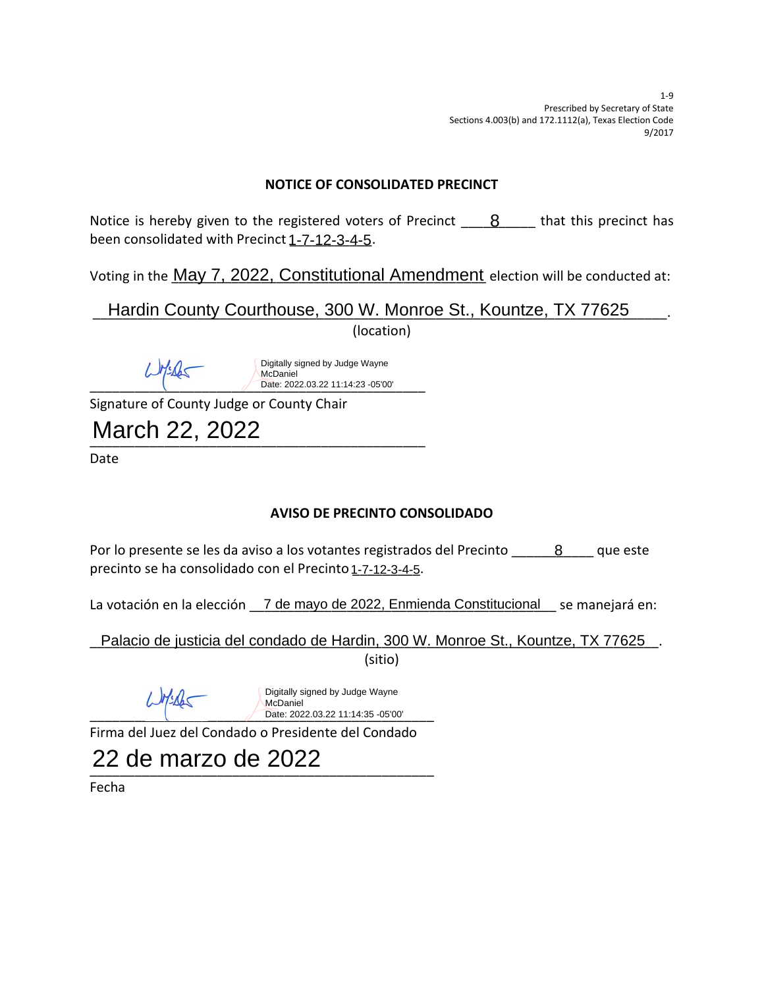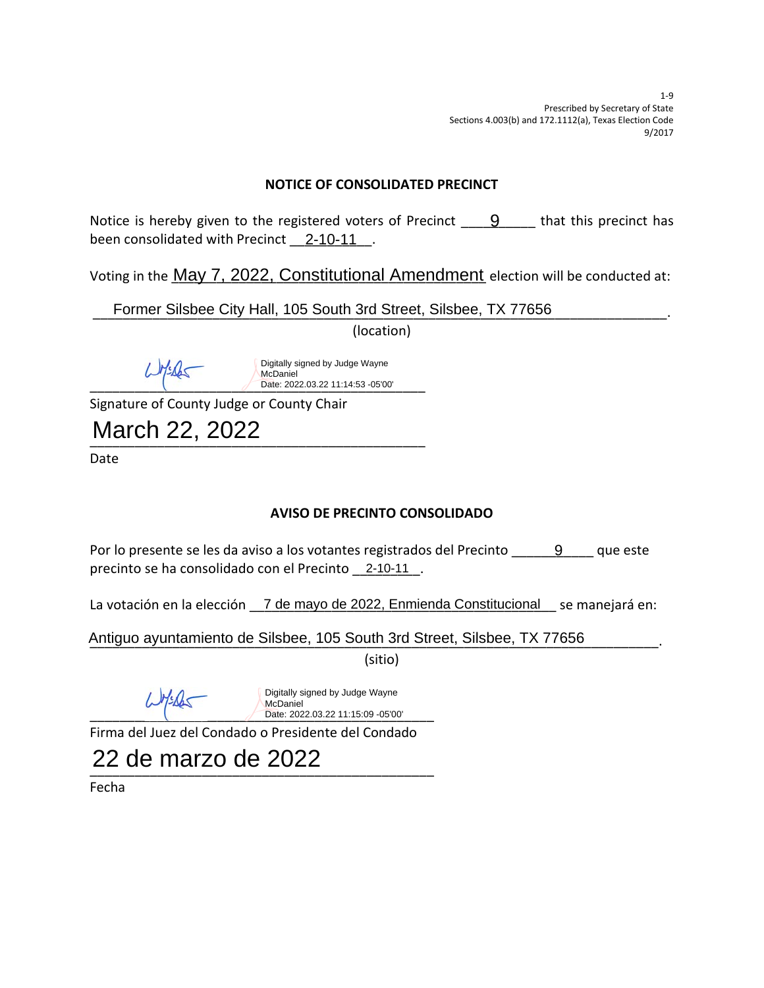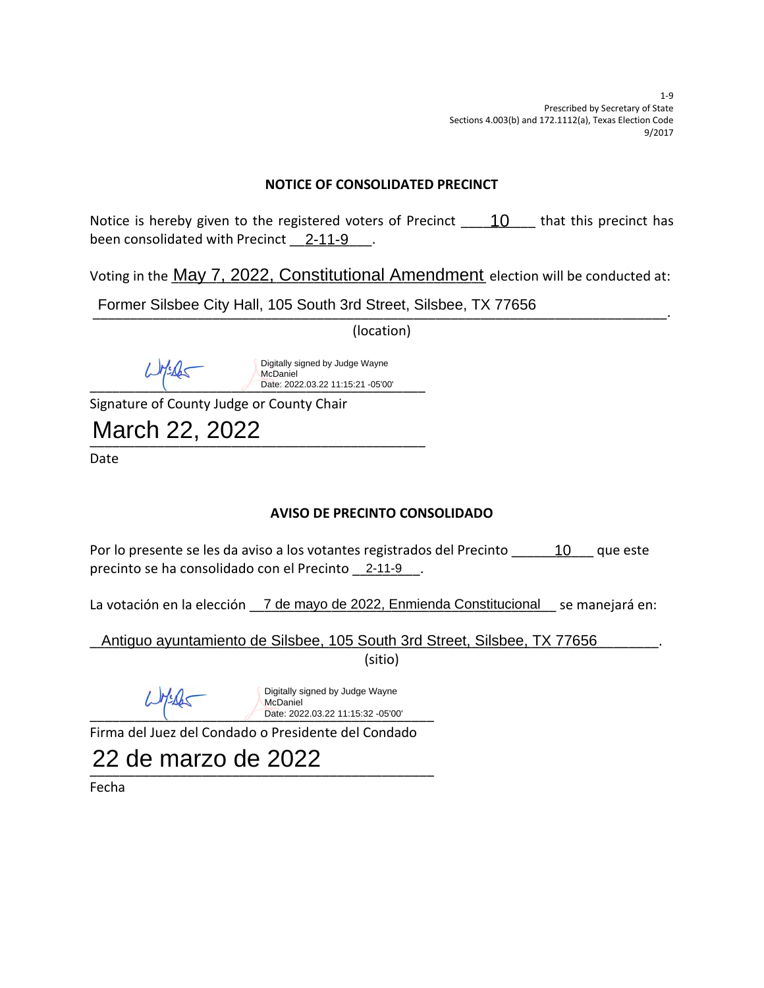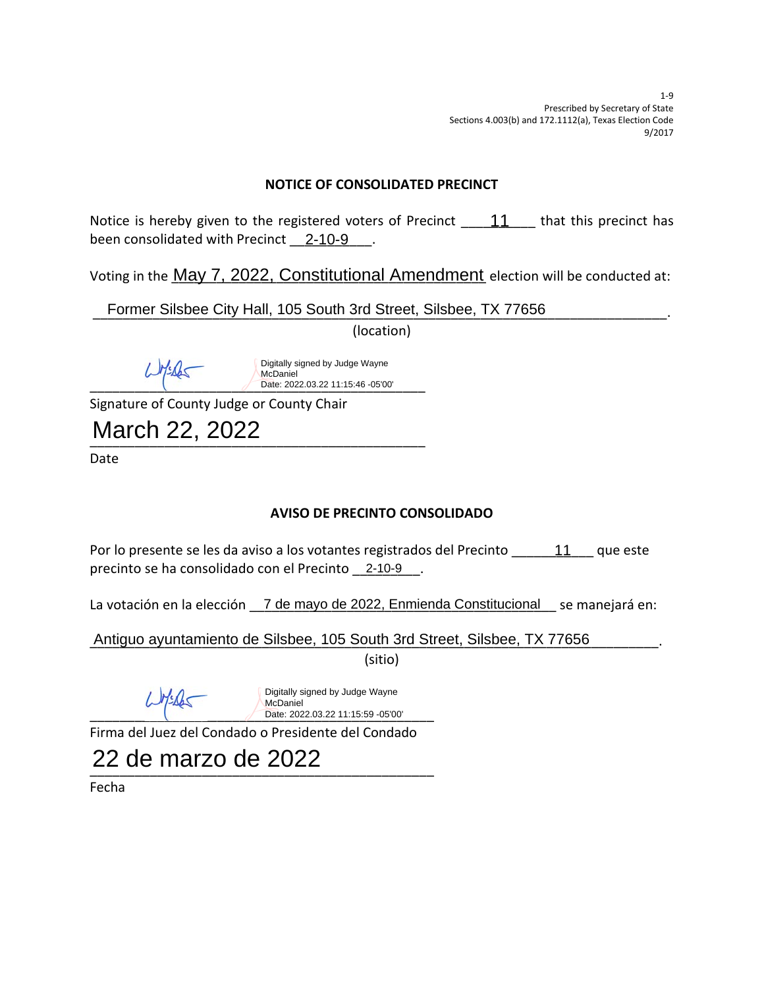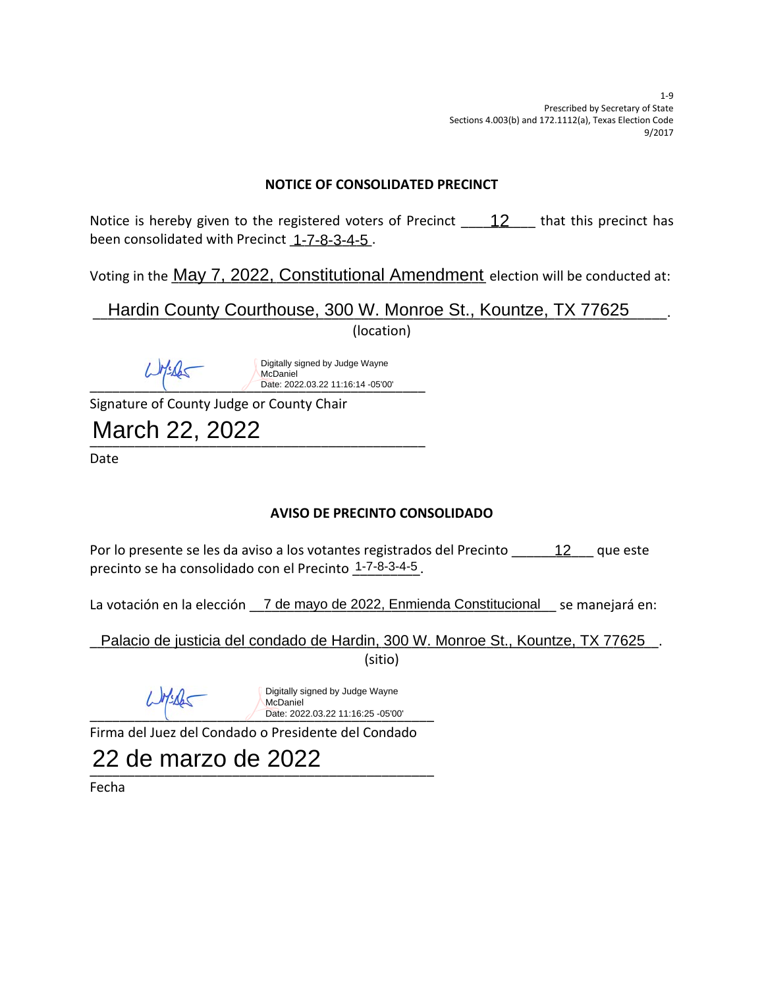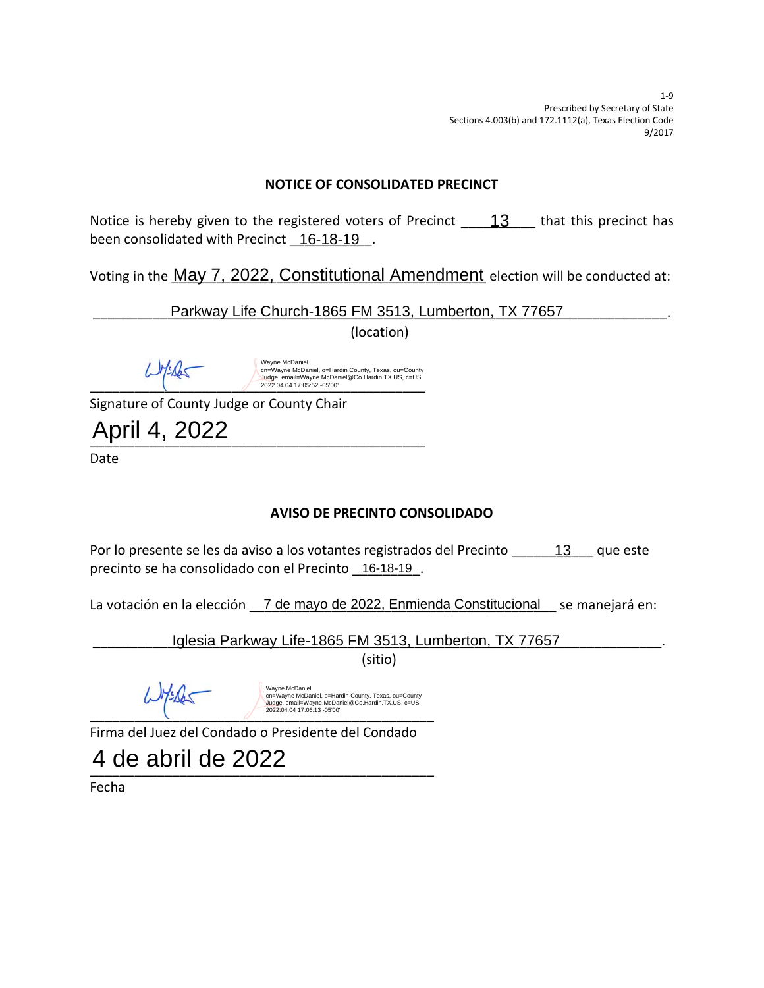

# **AVISO DE PRECINTO CONSOLIDADO**

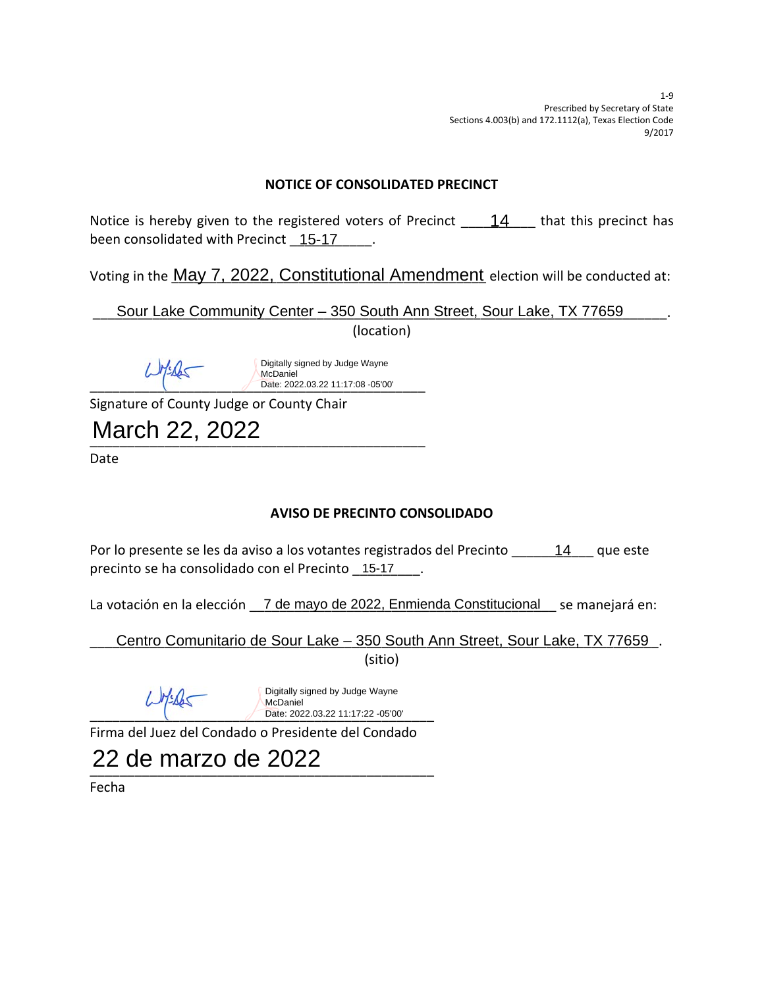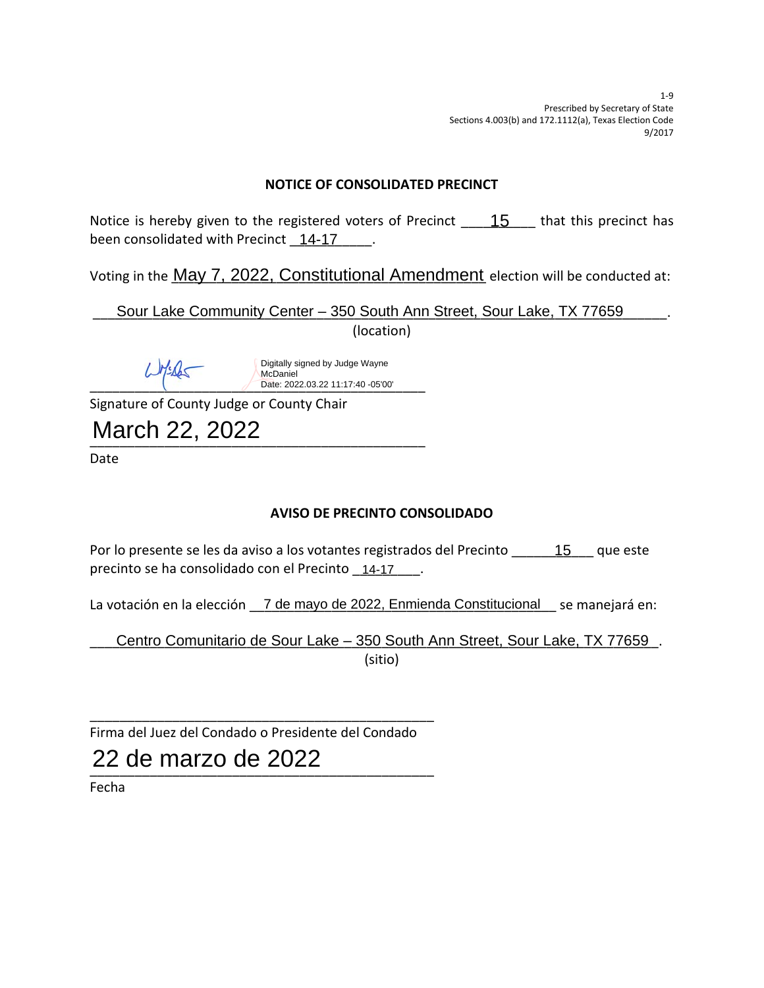

7 de mayo de 2022, Enmienda Constitucional

 $\blacksquare$ **~•]š}•** Centro Comunitario de Sour Lake – 350 South Ann Street, Sour Lake, TX 77659

 $\blacksquare$ 

**zzz** Н **&]Œuo :µÌo}v- } WŒ•]všo }v-**22 de marzo de 2022**zzz & Z-**

**>-À}š]•v o-]•vzzz •uviŒvW**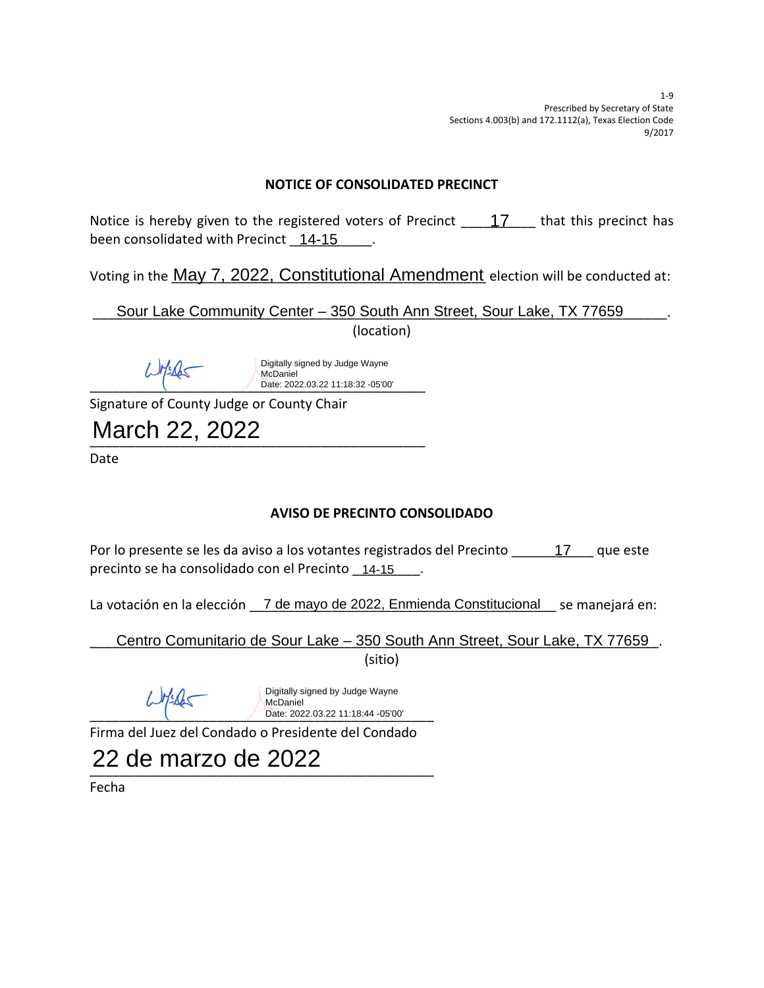

7 de mayo de 2022, Enmienda Constitucional

**zzzzzX ~•]š}•** Centro Comunitario de Sour Lake – 350 South Ann Street, Sour Lake, TX 77659



**>-À}š]•v o-]•vzzz •uviŒvW**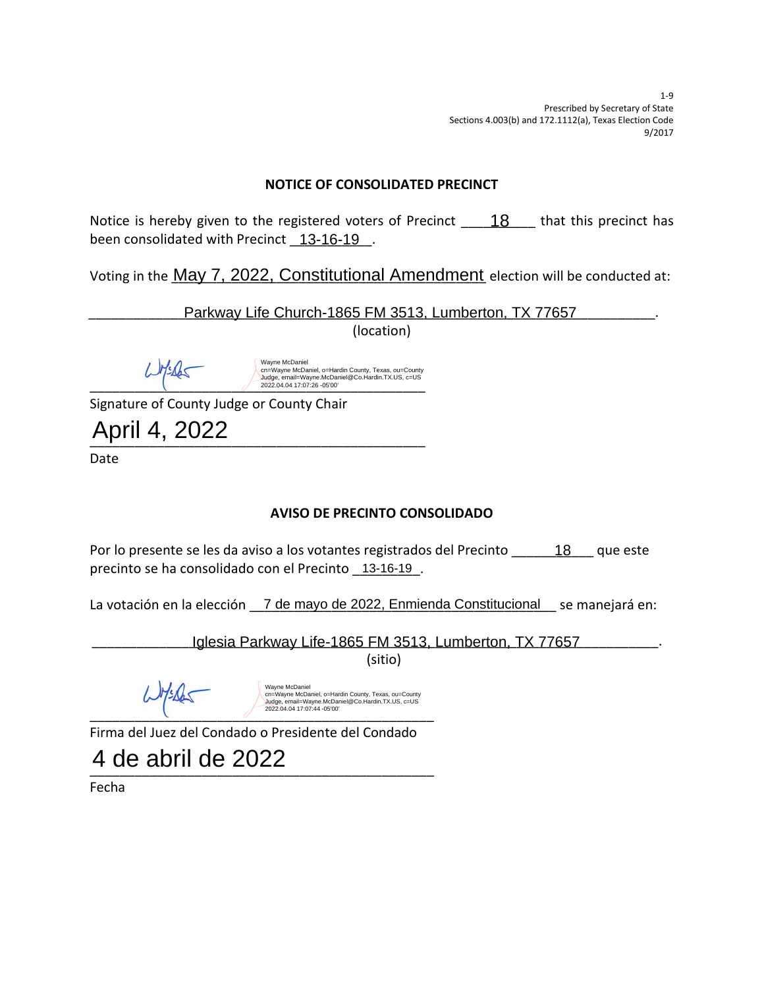

 $\blacksquare$ 

4 de abril de 2022

**& Z-**

**&]Œuo :µÌo}v-**

**zzz**